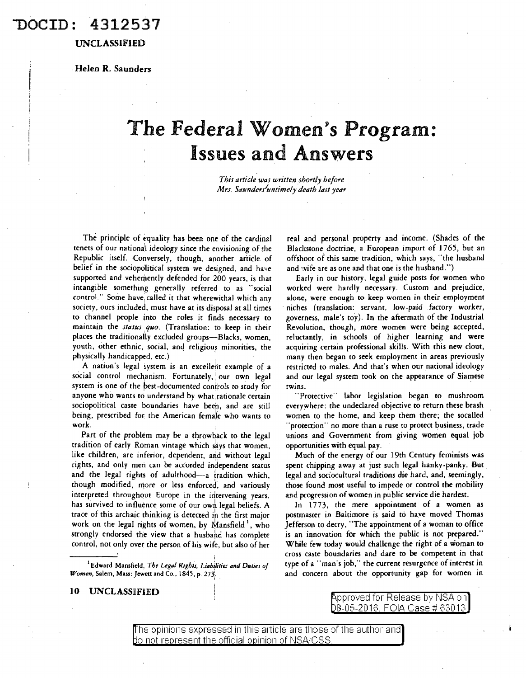### OCID: 4312537

UNCLASSIFIED

. Helen R. Saunders

# The Federal Women's Program: Issues and Answers

*This article was written shortly before Mrs. Saunder/untimely death last year* 

The principle of equality has been one of the cardinal tenets of our nationa<sup>1</sup> l ideology since the envisioning of the Republic itself. Conversely, though, another article of belief in the sociopolitical system we designed, and have supported and vehemently defended for 200 years, is that intangible something generally referred to as "social control." Some have, called it that wherewithal which any society, ours included, must have at its disposal at all times to channel people into the roles it finds necessary to maintain the *status quo*. (Translation: to keep in their places the traditionally excluded groups-Blacks, women, youth, other ethnic, social, and religious minorities, the physically handicapped, etc.)

A nation's legal system is an excellent example of a social control mechanism. Fortunately, our own legal system is one of the best-documented controls to study for anyone who wants to understand by what, rationale certain sociopolitical caste boundaries have been, and are still being, prescribed for the American female who wants to work.

Part of the problem may be a throwback to the legal tradition of early Roman vintage which says that women, like children, are inferior, dependent, and without legal rights, and only men can be accorded independent status and the legal rights of adulthood-a tradition which, though modified, more or less enforced, and variously interpreted throughout Europe in the intervening years, has survived to influence some of our own legal beliefs. A trace of this archaic thinking is detected in the first major work on the legal rights of women, by Mansfield<sup>1</sup>, who strongly endorsed the view that a husband has complete control, not only over the person of his wife, but also of her

<sup>1</sup> Edward Mansfield, *The Legal Rights, Liabilities and Duties of Women*, Salem, Mass: Jewett and Co., 1845, p. 273.

10 UNCLASSIFIED

real and personal property and income. (Shades of the Blackstone doctrine, a European import of 1765, but an offshoot of this same tradition, which says, "the husband and wife are as one and that one is the husband.")

Early in our history, legal guide posts for women who worked were hardly necessary. Custom and prejudice, alone, were enough to keep women in their employment niches (translation: servant, low-paid factory worker, governess, male's toy). In the aftermath of the Industrial Revolution, though, more women were being accepted, reluctantly, in schools of higher learning and were acquiring certain professional skills. With this new clout, many then began to seek employment in areas previously restricted to males. And that's when our national ideology and our legal system took on the appearance of Siamese twins.

"Protective" labor legislation began to mushroom everywhere: the undeclared objective to return these brash women to the home, and keep them there; the socalled 'protection" no more than a ruse to protect business, trade unions and Government from giving women equal job opportunities with equal pay.

Much of the energy of our 19th Century feminists was spent chipping away at just such legal hanky-panky. But. legal and sociocultural traditions die hard, and, seemingly, those found most useful to impede or control the mobility and progression of women in public service die hardest.

In 1773, the mere appointment of a women as postmaster in Baltimore is said to have moved Thomas Jefferson to decry, "The appointment of a woman to office is an innovation for which the public is not prepared." While few today would challenge the right of a woman to cross caste boundaries and dare to be competent in that type of a "man's job," the current resurgence of interest in and concern about the opportunity gap for women in

<code>\pproved</code> for Release by NSA on 8-05-2018. FOIA Case # 83013

The opinions expressed in this article are those of the author and  $\overline{\phantom{a}}$  $\rm\thinspace$  hot represent the official opinion of NSA/CSS.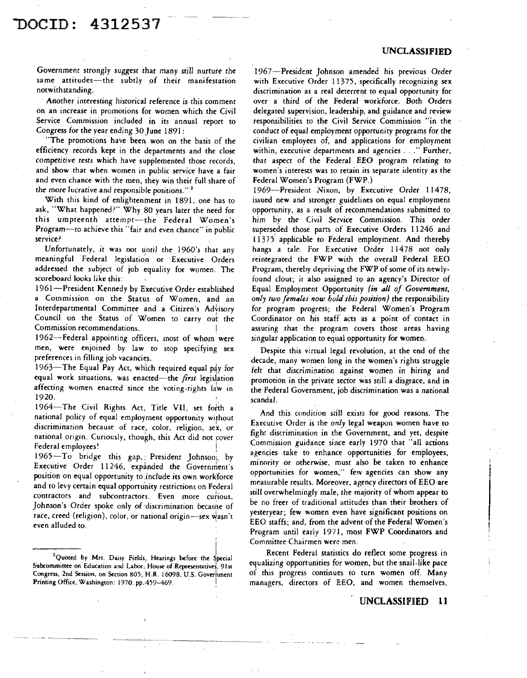# l>OCID: 4312537

Government strongly suggest chat many still nurture the same attitudes-the subtly of their manifestation notwith standing.

Another interesting historical reference is this comment on an increase in promotions for women which the Civil Service Commission included in its annual report to Congress for the year ending 30 June 1891:

"The promotions have been won on the basis of the efficiency records kept in the departments and the close competitive *tests* which have supplemented chose records, and show that when women in public service have a fair and even chance with the men, they win their full share of the more lucrative and responsible positions."<sup>2</sup>

With this kind of enlightenment in 1891, one has to ask, "What happened?" Why 80 years later the need for this umpteenth attempt-the Federal Women's Program-to achieve this "fair and even chance" in public service?

Unfortunately, it was not until the 1960's that any meaningful Federal legislation or Executive Orders addressed the subject of job equality for women. The scoreboard looks like this:

1961-President Kennedy by Executive Order established a Commission on the Status of Women, and an Interdepartmental Committee and a Citizen's Advisory Council on the Status of Women to carry oul: the Commission recommendations. I

1962-Federal appointing officers, men, were enjoined by law. to stop specifying sex preferences in filling job vacancies. most of whom. were

1963-The Equal Pay Act, which required equal pay for equal work situations, was enacted-the *first* legislation affecting women enacted since the voting-rights law in 1920.

1964-The Civil Rights Act, Title VII, set forth a national policy of equal employment opportunity without discrimination because of race, color, religion, sex, or national origin. Curiously, though, this Act did not cover Federal employees!

1965-To bridge this gap, President Johnson, by Executive Order 11246, expanded the Government's position on equal opportunity to ,include its own workforce and to levy certain equal opportunity restrictions on Federal contractors and subcontractors. Even more curious, Johnson's Order spoke only of discrimination because of race, creed (religion), color, or national origin-sex wasn't even alluded to.

1967--President Johnson amended his previous Order with Executive Order 11375, specifically recognizing sex discrimination as a real deterrent to equal opportunity for over a third of the Federal workforce. Both Orders delegated supervision, leadership, and guidance and review responsibilities to the Civil Service Commission "in the conduct of equal employment opportunity programs for the civilian employees of, and applications for employment within, executive departments and agencies . . . " Further, that aspect of the Federal EEO program relating to women's interests was to retain its separate identity as the Federal Women's Program (FWP.)

1969-President Nixon, by *Executive* Order 11478, issued new and stronger guidelines on equal employment opportunity, as a result of recommendations submitted to him by the Civil Service Commission. This order superseded those parts of Executive Orders 11246 and 11375 applicable to Federal employment. And thereby hangs a tale. For Executive Order 11478 not only reintegrated the FWP with the overall Federal EEO Program, thereby depriving the FWP of some of its newlyfound clout; it also assigned to an agency's Director of Equal Employment Opportunity *(in all of Government, only two females now hold this position)* \_the responsibility for program progress; the Federal Women's Program Coordinator on his staff acts as a point of contact in assuring that the program covers those areas having singular application to equal opportunity for women.

Despite this virtual legal revolution, at the end of the decade, many women long in the women's rights struggle felt that discrimination against women in hiring and promotion in the private sector was still a disgrace, and in the Federal Government, job discrimination was a national scandal.

And this condition still exists for good reasons. The Executive Order is the *only.* legal weapon women have to fight discrimination in the Government, and yet, despite Commission guidance since early 1970 that "all actions agencies take to enhance opportunities for employees, minority or otherwise, must also be taken to enhance opportunities for women," few agencies can show any measurable results. Moreover, agency directors of EEO are still overwhelmingly male, *the* majority of whom appear to be no freer of traditional attitudes than their brothers of yesteryear; few women even have significant positions on EEO staffs; and, from the advent of the Federal Women's Program until early 1971, most FWP Coordinators and Committee Chairmen were men.

Recent Federal statistics do reflect some progress in equalizing opportunities for women, but the snail-like pace of this progress continues to turn women off. Many managers, directors of EEO, and women themselves,

UNCLASSIFIED 11

THE TREST CONSTRUCT CONSERVATION CONSERVATION CONSERVATION CONSERVATION CONSERVATION CONSERVATION CONSERVATION CONSERVATION CONSERVATION CONSERVATION CONSERVATION CONSERVATION CONSERVATION CONSERVATION CONSERVATION CONSERV Subcommittee on Education and Labor, House of Representatives, 91st Congress, 2nd Session, on Section 805, KR. J609B. U.S. Goverhment Printing Office, Washington: 1970. pp. 459-469.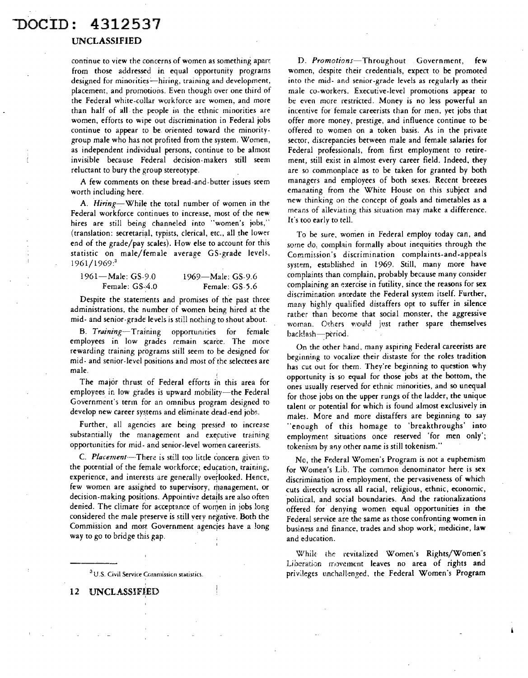### -noctn: 4312537

#### UNCLASSIFIED

continue to view the concerns of women as something apart from those addressed in equal opportunity programs designed for minorities-hiring, training and development, placement, and promotions. Even though over one third of the Federal white-collar workforce are women, and more than half of all. the people in the ethnic minorities are women, efforts to wipe out discrimination in Federal jobs continue to appear to be oriented coward the minoritygroup male who has not profited from the system. Women, as independent individual persons, continue to be almost invisible because Federal decision-makers still seem reluctant to bury the group stereotype.

A few comments on these bread-and-butter issues seem worth including here.

A. *Hiring-While* the total number of women in the Federal workforce continues to increase, most of the new hires are still being channeled into "women's jobs," (translation: secretarial, typists, clerical, etc., all the lower end of the grade/pay scales). How else to account for this statistic on male/female average GS-grade levels, 1961/1969:<sup>3</sup>

| $1961 -$ Male: GS-9.0 | 1969—Male: GS-9.6 |
|-----------------------|-------------------|
| Female: GS-4.0        | Female: GS-5.6    |

Despite the statements and promises of the past three administrations, the number of women being hired at the mid- and senior-grade levels is still nothing to shout about.

B. *Training-Traiining* opportuniries for female employees in low grades remain scaree. The more rewarding training programs still seem to be designed for mid- and senior-level positions and most of the selectees are male.

The major thrust of Federal efforts in this area for employees in low grades is upward mobility-the Federal Government's term for an omnibus program designed to develop new career systems and eliminate dead-end jobs.

Further, all agencies are being pressed to increase substantially the management and executive training opportunities for mid- and senior-level women careerists.

C. *Placement*-There is still too little concern given to the potential of the female workforce; education, training, experience, and interests are generally overlooked. Hence, few women are assigned to supervisory, management, or decision-making positions. Appointive details are also often denied. The climate for acceptance of women in jobs long considered the male preserve is still very negative. Both the Commission and most Government agencies have a long way to go to bridge this gap.

<sup>3</sup>U.S. Civil Service Commission statistics.

D. *Promotions-Throughout* Government, few women, despite their credentials, expect to be promoted into the mid- and senior-grade levels as regularly as their male co-workers. Executive-level promotions appear to be even more restricted. Money is no less powerful an incentive for female careerists than for men, yet jobs that offer more money, prestige, and influence continue to be offered to women on a token basis. As in the private sector, discrepancies between male and female salaries for Federal professionals, from first employment to retirement, still exist in almost every career field. Indeed, they are so commonplace as to be taken for granted by both managers and employees of both sexes. Recent breezes emanating from the White House on this subject and ·new thinking on the concept of goals and timetables as a means of alleviating this sicuarion may make a difference. It's too early to tell.

To be sure, women in Federal employ today can, and some do, comphin formally about inequities through the Commission's discrimination complaints-and-appeals system, established in 1969. Still, many more have complaints than complain, probably because many consider complaining an exercise in futility, since the reasons for sex discrimination antedate the Federal system itself. Further, many highly qualified distaffers opt to suffer in silence rather than become that social monster, the aggressive woman. Others would just rather spare themselves back!ash-period.

On the other hand, many aspiring Federal careerists are beginning to vocalize their distaste for the roles tradition has cut out for them. They're beginning to question why opportunity is so equal for those jobs at the bottom, the ones usually reserved for ethnic minorities, and so unequal for those jobs on the upper rungs of the ladder, the unique talent *or* potential for which is found almost exclusively in males. More and more distaffers are beginning to say "enough of this homage to 'breakthroughs' into employment situations once reserved 'for men only'; tokenism by any other name is still tokenism."

No, the Federal Women's Program is not a euphemism for Women's Lib. The common denominator here is sex discrimination in employment, the pervasiveness of which cuts directly across all racial, religious, ethnic, economic, political, and social boundaries. And the rationalizations offered for denying women equal opportunities in the Federal service are the same as those confronting women in business and finance, trades and shop work, medicine, law and education.

Whik the revitalized Women's Rights/Women's Liberation movement leaves no area of rights and privileges unchallenged, the Federal Women's Program

12 UNCLASSIFIED